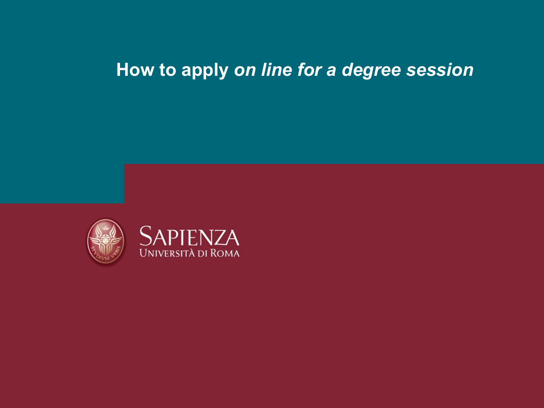## **How to apply** *on line for a degree session*



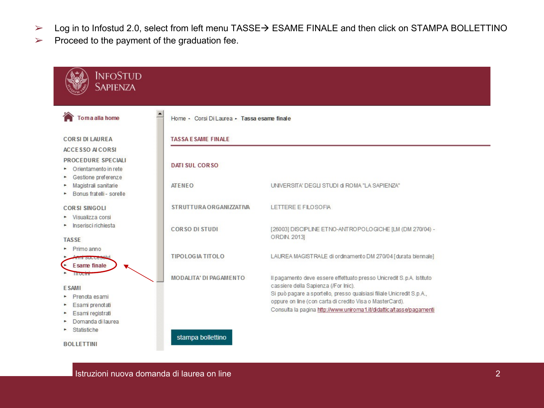- ► Log in to Infostud 2.0, select from left menu TASSE→ ESAME FINALE and then click on STAMPA BOLLETTINO
- $\triangleright$  Proceed to the payment of the graduation fee.

| Home · Corsi Di Laurea · Tassa esame finale |                                                                                                                                                                           |
|---------------------------------------------|---------------------------------------------------------------------------------------------------------------------------------------------------------------------------|
| <b>TASSA E SAME FINALE</b>                  |                                                                                                                                                                           |
| <b>DATI SUL CORSO</b>                       |                                                                                                                                                                           |
| <b>ATENEO</b>                               | UNIVERSITA' DEGLI STUDI di ROMA "LA SAPIENZA"                                                                                                                             |
| STRUTTURA ORGANIZZATIVA                     | LETTERE E FILOSOFIA                                                                                                                                                       |
| <b>CORSO DI STUDI</b>                       | [26003] DISCIPLINE ETNO-ANTROPOLOGICHE [LM (DM 270/04) -<br>ORDIN. 2013]                                                                                                  |
| <b>TIPOLOGIA TITOLO</b>                     | LAUREA MAGISTRALE di ordinamento DM 270/04 [durata biennale]                                                                                                              |
| <b>MODALITA' DI PAGAMENTO</b>               | Il pagamento deve essere effettuato presso Unicredit S.p.A. Istituto                                                                                                      |
|                                             | cassiere della Sapienza (/For Inic).<br>Si può pagare a sportello, presso qualsiasi filiale Unicredit S.p.A.,<br>oppure on line (con carta di credito Visa o MasterCard). |
|                                             |                                                                                                                                                                           |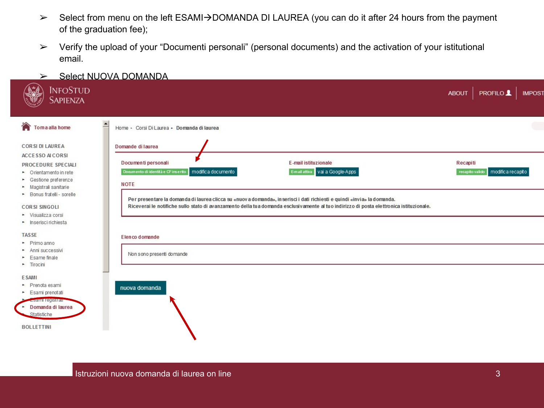- > Select from menu on the left ESAMI→DOMANDA DI LAUREA (you can do it after 24 hours from the payment of the graduation fee);
- ➢ Verify the upload of your "Documenti personali" (personal documents) and the activation of your istitutional email.
- ➢ Select NUOVA DOMANDA

| <b>INFOSTUD</b><br><b>SAPIENZA</b>                                                                                                                   |                                                                                                                                                                                                                                                                   | <b>ABOUT</b> | <b>PROFILO</b>                      | <b>IMPOST</b> |
|------------------------------------------------------------------------------------------------------------------------------------------------------|-------------------------------------------------------------------------------------------------------------------------------------------------------------------------------------------------------------------------------------------------------------------|--------------|-------------------------------------|---------------|
| Toma alla home<br>$\Gamma$<br><b>CORSI DI LAUREA</b>                                                                                                 | Home · Corsi Di Laurea · Domanda di laurea<br>Domande di laurea                                                                                                                                                                                                   |              |                                     |               |
| <b>ACCESSO ALCORSI</b><br>PROCEDURE SPECIALI<br>• Orientamento in rete<br>• Gestione preferenze<br>Magistrali sanitarie                              | Documenti personali<br><b>E-mail istituzionale</b><br>Documento di identità e CF inserito   modifica documento<br>E-mail attiva vai a Google-Apps<br><b>NOTE</b>                                                                                                  | Recapiti     | recapito valido   modifica recapito |               |
| • Bonus fratelli - sorelle<br><b>CORSI SINGOLI</b><br>• Visualizza corsi<br>• Inserisci richiesta                                                    | Per presentare la domanda di laurea clicca su «nuova domanda», inserisci i dati richiesti e quindi «invia» la domanda.<br>Riceverai le notifiche sullo stato di avanzamento della tua domanda esclusivamente al tuo indirizzo di posta elettronica istituzionale. |              |                                     |               |
| <b>TASSE</b><br>Primo anno<br>Anni successivi<br>Esame finale                                                                                        | Elenco domande<br>Non sono presenti domande                                                                                                                                                                                                                       |              |                                     |               |
| $\blacktriangleright$ Tirocini<br><b>ESAMI</b><br>• Prenota esami<br>Esami prenotati<br><b>Esami registrar</b><br>• Domanda di laurea<br>Statistiche | nuova domanda                                                                                                                                                                                                                                                     |              |                                     |               |
| <b>BOLLETTINI</b>                                                                                                                                    |                                                                                                                                                                                                                                                                   |              |                                     |               |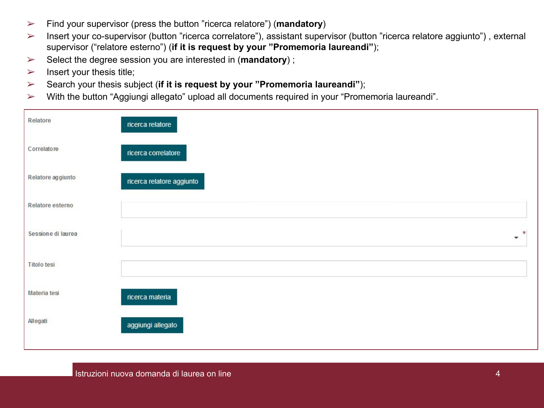- ➢ Find your supervisor (press the button "ricerca relatore") (**mandatory**)
- ➢ Insert your co-supervisor (button "ricerca correlatore"), assistant supervisor (button "ricerca relatore aggiunto") , external supervisor ("relatore esterno") (**if it is request by your "Promemoria laureandi"**);
- ➢ Select the degree session you are interested in (**mandatory**) ;
- $\triangleright$  Insert your thesis title;
- ➢ Search your thesis subject (**if it is request by your "Promemoria laureandi"**);
- ➢ With the button "Aggiungi allegato" upload all documents required in your "Promemoria laureandi".

| Relatore           | ricerca relatore          |
|--------------------|---------------------------|
| Correlatore        | ricerca correlatore       |
| Relatore aggiunto  | ricerca relatore aggiunto |
| Relatore esterno   |                           |
| Sessione di laurea | 米<br>v                    |
| <b>Titolo tesi</b> |                           |
| Materia tesi       | ricerca materia           |
| Allegati           | aggiungi allegato         |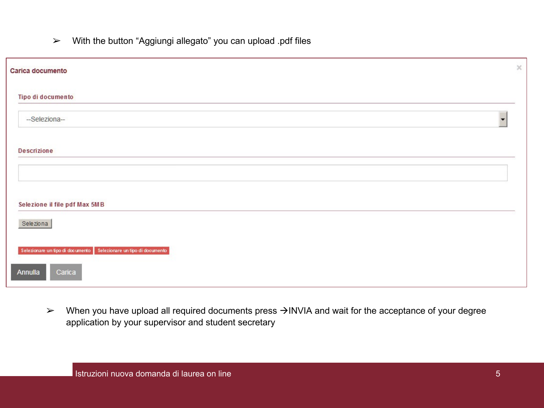➢ With the button "Aggiungi allegato" you can upload .pdf files

| Carica documento                                                  | $\times$ |
|-------------------------------------------------------------------|----------|
| Tipo di documento                                                 |          |
| --Seleziona--                                                     |          |
| <b>Descrizione</b>                                                |          |
|                                                                   |          |
| Selezione il file pdf Max 5MB                                     |          |
| Seleziona                                                         |          |
| Selezionare un tipo di documento Selezionare un tipo di documento |          |
| Annulla<br>Carica                                                 |          |

 $\triangleright$  When you have upload all required documents press  $\rightarrow$ INVIA and wait for the acceptance of your degree application by your supervisor and student secretary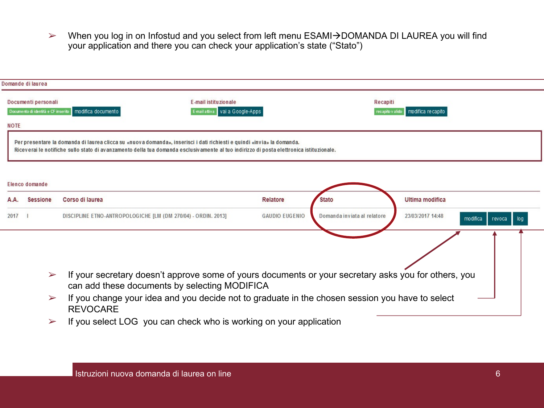> When you log in on Infostud and you select from left menu ESAMI→DOMANDA DI LAUREA you will find your application and there you can check your application's state ("Stato")

|             | Domande di laurea                                          |                                                                                                                                                       |                       |                              |                              |               |
|-------------|------------------------------------------------------------|-------------------------------------------------------------------------------------------------------------------------------------------------------|-----------------------|------------------------------|------------------------------|---------------|
| <b>NOTE</b> | Documenti personali<br>Documento di identità e CF inserito | E-mail istituzionale<br>E-mail attiva   vai a Google-Apps<br>modifica documento                                                                       |                       | Recapiti<br>recapito v alido | modifica recapito            |               |
|             |                                                            | Per presentare la domanda di laurea clicca su «nuova domanda», inserisci i dati richiesti e quindi «invia» la domanda.                                |                       |                              |                              |               |
|             |                                                            | Riceverai le notifiche sullo stato di avanzamento della tua domanda esclusivamente al tuo indirizzo di posta elettronica istituzionale.               |                       |                              |                              |               |
|             |                                                            |                                                                                                                                                       |                       |                              |                              |               |
|             | Elenco domande                                             |                                                                                                                                                       |                       |                              |                              |               |
| A.A.        | <b>Sessione</b>                                            | Corso di laurea                                                                                                                                       | Relatore              | <b>Stato</b>                 | Ultima modifica              |               |
| 2017        | $\mathbf{I}$                                               | DISCIPLINE ETNO-ANTROPOLOGICHE [LM (DM 270/04) - ORDIN. 2013]                                                                                         | <b>GAUDIO EUGENIO</b> | Domanda inviata al relatore  | 23/03/2017 14:48<br>modifica | revoca<br>log |
|             |                                                            |                                                                                                                                                       |                       |                              |                              |               |
|             |                                                            |                                                                                                                                                       |                       |                              |                              |               |
|             |                                                            |                                                                                                                                                       |                       |                              |                              |               |
|             | $\blacktriangleright$                                      | If your secretary doesn't approve some of yours documents or your secretary asks you for others, you<br>can add these documents by selecting MODIFICA |                       |                              |                              |               |
|             | $\blacktriangleright$                                      | If you change your idea and you decide not to graduate in the chosen session you have to select<br><b>REVOCARE</b>                                    |                       |                              |                              |               |

 $\triangleright$  If you select LOG you can check who is working on your application